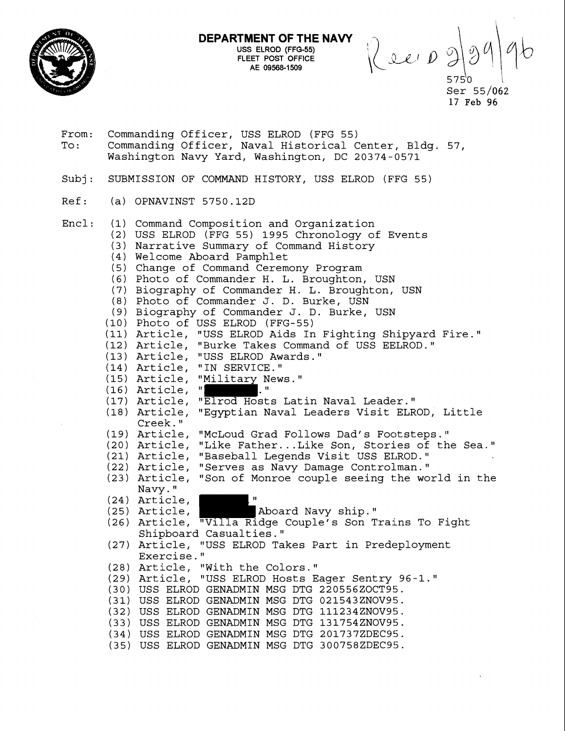

**DEPARTMENT OF THE NAVY USS** ELROD (FFG-55) FLEET POST OFFICE AE 09568-1509

R ev 09  $5750$ 

Ser 55/062 **17 Feb** 96

From: Commanding Officer, USS ELROD (FFG 55) To: Commanding Officer, Naval Historical Center, Bldg. 57, Washington Navy Yard, Washington, DC 20374-0571

Subj: SUBMISSION OF COMMAND HISTORY, USS ELROD (FFG 55)

- Ref: (a) OPNAVINST 5750.12D
- Encl: (1) Command Composition and Organization (2) USS ELROD (FFG 55) 1995 Chronology of Events (3) Narrative Summary of Command History (4) Welcome Aboard Pamphlet (5) Change of Command Ceremony Program (6) Photo of Commander H. L. Broughton, USM (7) Biography of Commander H. L. Broughton, USN (8) Photo of Commander J. D. Burke, USN (9) Biography of Commander J. D. Burke, USN (10) Photo of USS ELROD (FFG-55) (11) Article, "USS ELROD Aids In Fighting Shipyard Fire." (12) Article, "Burke Takes Command of USS EELROD." (13) Article, "USS ELROD Awards. " (14) Article, "IN SERVICE. (15) Article, "Military News."<br>(16) Article, "  $(16)$  Article,  $\sqrt[n]{\ }$ (17) Article, "Elrod Hosts Latin Naval Leader." (18) Article, "Egyptian Naval Leaders Visit ELROD, Little Creek. **fl**  (19) Article, "McLoud Grad Follows Dad's Footsteps." (20) Article, "Like Father ... Like Son, Stories of the Sea." (21) Article, "Baseball Legends Visit USS ELROD." (22) Article, "Serves as Navy Damage Controlman." (23) Article, "Son of Monroe couple seeing the world in the Navy."<br>(24) Article, (25) Article, **Aboard Navy ship.**" (26) Article, "Villa Ridge Couple's Son Trains To Fight Shipboard Casualties." (27) Article, "USS ELROD Takes Part in Predeployment Exercise." (28) Article, "With the Colors. (29) Article, "USS ELROD Hosts Eager Sentry 96-1." (30) USS ELROD GENADMIN MSG DTG 220556ZOCT95. (31) USS ELROD GENADMIN MSG DTG 021543ZNOV95. (32) USS ELROD GENADMIN MSG DTG 111234ZNOV95. (33) USS ELROD GENADMIN MSG DTG 131754ZNOV95. (34) USS ELROD GENADMIN MSG DTG 201737ZDEC95. (35) USS ELROD GENADMIN MSG DTG 300758ZDEC95.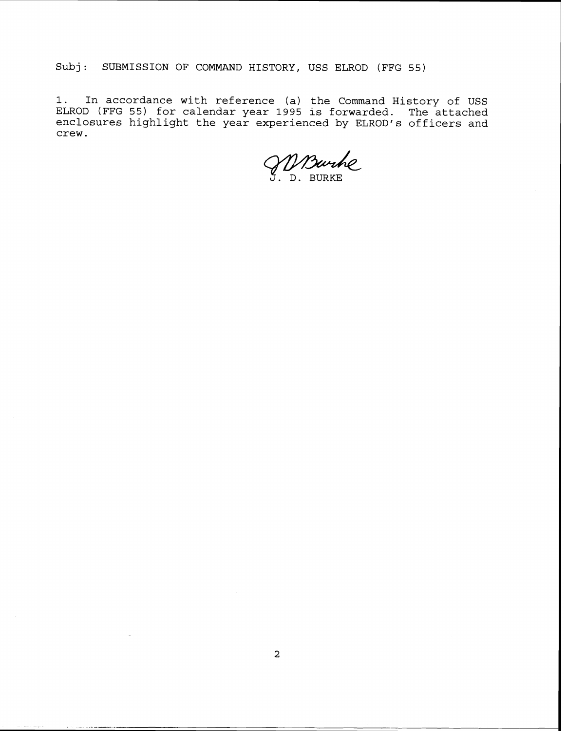Subj: SUBMISSION OF COMMAND HISTORY, USS ELROD (FFG 55)

1. In accordance with reference (a) the Command History of USS ELROD (FFG 55) for calendar year 1995 is forwarded. The attached enclosures highlight the year experienced by ELROD'S officers and crew.

*3.* D. BURKE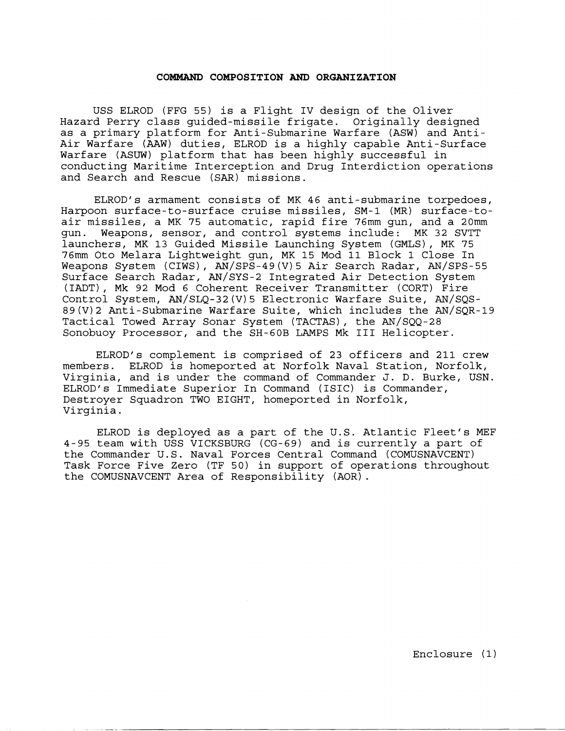### **COMMAND COMPOSITION AND ORGANIZATION**

USS ELROD (FFG 55) is a Flight IV design of the Oliver Hazard Perry class guided-missile frigate. Originally designed as a primary platform for Anti-Submarine Warfare (ASW) and Anti-Air Warfare (AAW) duties, ELROD is a highly capable Anti-Surface Warfare (ASUW) platform that has been highly successful in conducting Maritime Interception and Drug Interdiction operations and Search and Rescue (SAR) missions.

ELROD'S armament consists of MK 46 anti-submarine torpedoes, Harpoon surface-to-surface cruise missiles, SM-1 (MR) surface-toair missiles, a MK 75 automatic, rapid fire 76mm gun, and a 20mm<br>qun. Weapons, sensor, and control systems include: MK 32 SVTT Weapons, sensor, and control systems include: MK 32 SVTT launchers, MK 13 Guided Missile Launching System (GMLS), MK 75 76mm Oto Melara Lightweight gun, MK 15 Mod 11 Block 1 Close In Weapons System (CIWS) , AN/SPS-49 (V) 5 Air Search Radar, AN/SPS-55 Surface Search Radar, AN/SYS-2 Integrated Air Detection System (IADT), Mk 92 Mod 6 Coherent Receiver Transmitter (CORT) Fire Control System, AN/SLQ-32(V)5 Electronic Warfare Suite, AN/SQS-89(V)2 Anti-Submarine Warfare Suite, which includes the AN/SQR-19 Tactical Towed Array Sonar System (TACTAS), the AN/SQQ-28 Sonobuoy Processor, and the SH-GOB LAMPS Mk I11 Helicopter.

ELROD'S complement is comprised of 23 officers and 211 crew members. ELROD is homeported at Norfolk Naval Station, Norfolk, Virginia, and is under the command of Commander J. D. Burke, USN. ELROD'S Immediate Superior In Command (ISIC) is Commander, Destroyer Squadron TWO EIGHT, homeported in Norfolk, Virginia.

ELROD is deployed as a part of the U.S. Atlantic Fleet's MEF 4-95 team with USS VICKSBURG (CG-69) and is currently a part of the Commander U.S. Naval Forces Central Command (COMUSNAVCENT) Task Force Five Zero (TF 50) in support of operations throughout the COMUSNAVCENT Area of Responsibility (AOR).

Enclosure (1)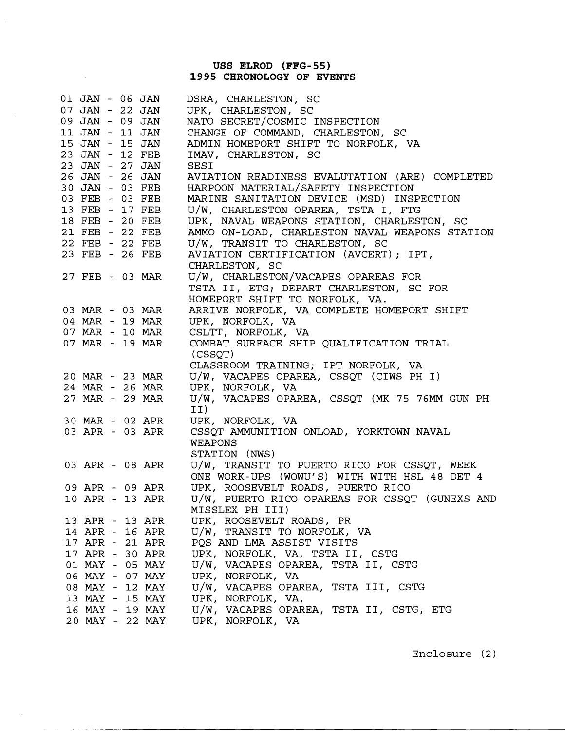# **USS ELROD (FFG-55) 1995 CHRONOLOGY OF EVENTS**

 $\sim$ 

 $\mathcal{L}(\mathcal{A})$  and  $\mathcal{L}(\mathcal{A})$ 

 $\mathcal{A}$  . The contract of the second components

| 01 JAN - 06 JAN |  |                 | DSRA, CHARLESTON, SC                           |
|-----------------|--|-----------------|------------------------------------------------|
| 07 JAN - 22 JAN |  |                 | UPK, CHARLESTON, SC                            |
| 09 JAN - 09 JAN |  |                 | NATO SECRET/COSMIC INSPECTION                  |
| 11 JAN - 11 JAN |  |                 | CHANGE OF COMMAND, CHARLESTON, SC              |
| 15 JAN - 15 JAN |  |                 | ADMIN HOMEPORT SHIFT TO NORFOLK, VA            |
| 23 JAN - 12 FEB |  |                 | IMAV, CHARLESTON, SC                           |
| 23 JAN - 27 JAN |  |                 | SESI                                           |
| 26 JAN - 26 JAN |  |                 | AVIATION READINESS EVALUTATION (ARE) COMPLETED |
| 30 JAN - 03 FEB |  |                 | HARPOON MATERIAL/SAFETY INSPECTION             |
| 03 FEB - 03 FEB |  |                 | MARINE SANITATION DEVICE (MSD) INSPECTION      |
| 13 FEB - 17 FEB |  |                 | U/W, CHARLESTON OPAREA, TSTA I, FTG            |
| 18 FEB - 20 FEB |  |                 | UPK, NAVAL WEAPONS STATION, CHARLESTON, SC     |
| 21 FEB - 22 FEB |  |                 | AMMO ON-LOAD, CHARLESTON NAVAL WEAPONS STATION |
| 22 FEB - 22 FEB |  |                 | U/W, TRANSIT TO CHARLESTON, SC                 |
| 23 FEB - 26 FEB |  |                 | AVIATION CERTIFICATION (AVCERT); IPT,          |
|                 |  |                 | CHARLESTON, SC                                 |
| 27 FEB - 03 MAR |  |                 | U/W, CHARLESTON/VACAPES OPAREAS FOR            |
|                 |  |                 | TSTA II, ETG; DEPART CHARLESTON, SC FOR        |
|                 |  |                 | HOMEPORT SHIFT TO NORFOLK, VA.                 |
|                 |  | 03 MAR - 03 MAR | ARRIVE NORFOLK, VA COMPLETE HOMEPORT SHIFT     |
| 04 MAR - 19 MAR |  |                 | UPK, NORFOLK, VA                               |
| 07 MAR - 10 MAR |  |                 | CSLTT, NORFOLK, VA                             |
| 07 MAR - 19 MAR |  |                 | COMBAT SURFACE SHIP QUALIFICATION TRIAL        |
|                 |  |                 | (CSSQT)                                        |
|                 |  |                 | CLASSROOM TRAINING; IPT NORFOLK, VA            |
|                 |  | 20 MAR - 23 MAR | U/W, VACAPES OPAREA, CSSQT (CIWS PH I)         |
| 24 MAR - 26 MAR |  |                 | UPK, NORFOLK, VA                               |
| 27 MAR - 29 MAR |  |                 | U/W, VACAPES OPAREA, CSSQT (MK 75 76MM GUN PH  |
|                 |  |                 | II)                                            |
|                 |  | 30 MAR - 02 APR | UPK, NORFOLK, VA                               |
| 03 APR - 03 APR |  |                 | CSSQT AMMUNITION ONLOAD, YORKTOWN NAVAL        |
|                 |  |                 | WEAPONS                                        |
|                 |  |                 | STATION (NWS)                                  |
|                 |  | 03 APR - 08 APR | U/W, TRANSIT TO PUERTO RICO FOR CSSQT, WEEK    |
|                 |  |                 | ONE WORK-UPS (WOWU'S) WITH WITH HSL 48 DET 4   |
|                 |  | 09 APR - 09 APR | UPK, ROOSEVELT ROADS, PUERTO RICO              |
| 10 APR - 13 APR |  |                 | U/W, PUERTO RICO OPAREAS FOR CSSQT (GUNEXS AND |
|                 |  |                 | MISSLEX PH III)                                |
|                 |  | 13 APR - 13 APR | UPK, ROOSEVELT ROADS, PR                       |
|                 |  | 14 APR - 16 APR | U/W, TRANSIT TO NORFOLK, VA                    |
|                 |  | 17 APR - 21 APR | PQS AND LMA ASSIST VISITS                      |
|                 |  | 17 APR - 30 APR | UPK, NORFOLK, VA, TSTA II, CSTG                |
|                 |  | 01 MAY - 05 MAY | U/W, VACAPES OPAREA, TSTA II, CSTG             |
|                 |  | 06 MAY - 07 MAY | UPK, NORFOLK, VA                               |
|                 |  | 08 MAY - 12 MAY | U/W, VACAPES OPAREA, TSTA III, CSTG            |
|                 |  | 13 MAY - 15 MAY | UPK, NORFOLK, VA,                              |
|                 |  | 16 MAY - 19 MAY | U/W, VACAPES OPAREA, TSTA II, CSTG, ETG        |
|                 |  | 20 MAY - 22 MAY | UPK, NORFOLK, VA                               |

Enclosure (2)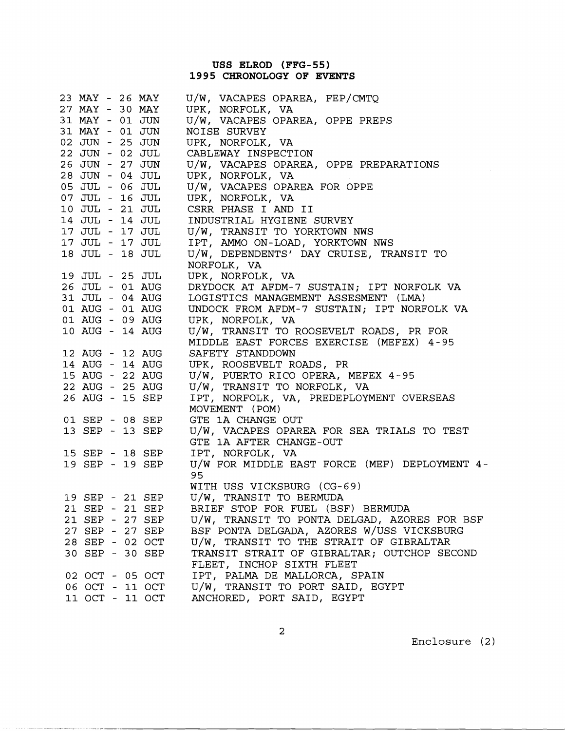# **USS ELROD (FFG-55) 1995 CHRONOLOGY OF EVENTS**

| 23 MAY - 26 MAY |  |                 | U/W, VACAPES OPAREA, FEP/CMTQ                 |
|-----------------|--|-----------------|-----------------------------------------------|
| 27 MAY - 30 MAY |  |                 | UPK, NORFOLK, VA                              |
| 31 MAY - 01 JUN |  |                 | U/W, VACAPES OPAREA, OPPE PREPS               |
| 31 MAY - 01 JUN |  |                 | NOISE SURVEY                                  |
| 02 JUN - 25 JUN |  |                 | UPK, NORFOLK, VA                              |
| 22 JUN - 02 JUL |  |                 | CABLEWAY INSPECTION                           |
| 26 JUN - 27 JUN |  |                 | U/W, VACAPES OPAREA, OPPE PREPARATIONS        |
| 28 JUN - 04 JUL |  |                 | UPK, NORFOLK, VA                              |
| 05 JUL - 06 JUL |  |                 | U/W, VACAPES OPAREA FOR OPPE                  |
| 07 JUL - 16 JUL |  |                 | UPK, NORFOLK, VA                              |
| 10 JUL - 21 JUL |  |                 | CSRR PHASE I AND II                           |
| 14 JUL - 14 JUL |  |                 | INDUSTRIAL HYGIENE SURVEY                     |
| 17 JUL - 17 JUL |  |                 | U/W, TRANSIT TO YORKTOWN NWS                  |
| 17 JUL - 17 JUL |  |                 | IPT, AMMO ON-LOAD, YORKTOWN NWS               |
| 18 JUL - 18 JUL |  |                 | U/W, DEPENDENTS' DAY CRUISE, TRANSIT TO       |
|                 |  |                 | NORFOLK, VA                                   |
| 19 JUL - 25 JUL |  |                 | UPK, NORFOLK, VA                              |
| 26 JUL - 01 AUG |  |                 | DRYDOCK AT AFDM-7 SUSTAIN; IPT NORFOLK VA     |
| 31 JUL - 04 AUG |  |                 | LOGISTICS MANAGEMENT ASSESMENT (LMA)          |
| 01 AUG - 01 AUG |  |                 | UNDOCK FROM AFDM-7 SUSTAIN; IPT NORFOLK VA    |
| 01 AUG - 09 AUG |  |                 | UPK, NORFOLK, VA                              |
| 10 AUG - 14 AUG |  |                 | U/W, TRANSIT TO ROOSEVELT ROADS, PR FOR       |
|                 |  |                 | MIDDLE EAST FORCES EXERCISE (MEFEX) 4-95      |
| 12 AUG - 12 AUG |  |                 | SAFETY STANDDOWN                              |
| 14 AUG - 14 AUG |  |                 | UPK, ROOSEVELT ROADS, PR                      |
| 15 AUG - 22 AUG |  |                 | U/W, PUERTO RICO OPERA, MEFEX 4-95            |
| 22 AUG - 25 AUG |  |                 | U/W, TRANSIT TO NORFOLK, VA                   |
| 26 AUG - 15 SEP |  |                 | IPT, NORFOLK, VA, PREDEPLOYMENT OVERSEAS      |
|                 |  |                 | MOVEMENT (POM)                                |
|                 |  | 01 SEP - 08 SEP | GTE 1A CHANGE OUT                             |
| 13 SEP - 13 SEP |  |                 | U/W, VACAPES OPAREA FOR SEA TRIALS TO TEST    |
|                 |  |                 | GTE 1A AFTER CHANGE-OUT                       |
|                 |  | 15 SEP - 18 SEP | IPT, NORFOLK, VA                              |
|                 |  | 19 SEP - 19 SEP | U/W FOR MIDDLE EAST FORCE (MEF) DEPLOYMENT 4- |
|                 |  |                 | 95                                            |
|                 |  |                 | WITH USS VICKSBURG (CG-69)                    |
| 19 SEP - 21 SEP |  |                 | U/W, TRANSIT TO BERMUDA                       |
| 21 SEP - 21 SEP |  |                 | BRIEF STOP FOR FUEL (BSF) BERMUDA             |
|                 |  | 21 SEP - 27 SEP | U/W, TRANSIT TO PONTA DELGAD, AZORES FOR BSF  |
|                 |  | 27 SEP - 27 SEP | BSF PONTA DELGADA, AZORES W/USS VICKSBURG     |
|                 |  | 28 SEP - 02 OCT | U/W, TRANSIT TO THE STRAIT OF GIBRALTAR       |
| 30 SEP - 30 SEP |  |                 | TRANSIT STRAIT OF GIBRALTAR; OUTCHOP SECOND   |
|                 |  |                 | FLEET, INCHOP SIXTH FLEET                     |
| 02 OCT - 05 OCT |  |                 | IPT, PALMA DE MALLORCA, SPAIN                 |
| 06 OCT - 11 OCT |  |                 | U/W, TRANSIT TO PORT SAID, EGYPT              |
| 11 OCT - 11 OCT |  |                 | ANCHORED, PORT SAID, EGYPT                    |

Enclosure (2)

 $\pi\pi\sim\omega\pi\pi\pi$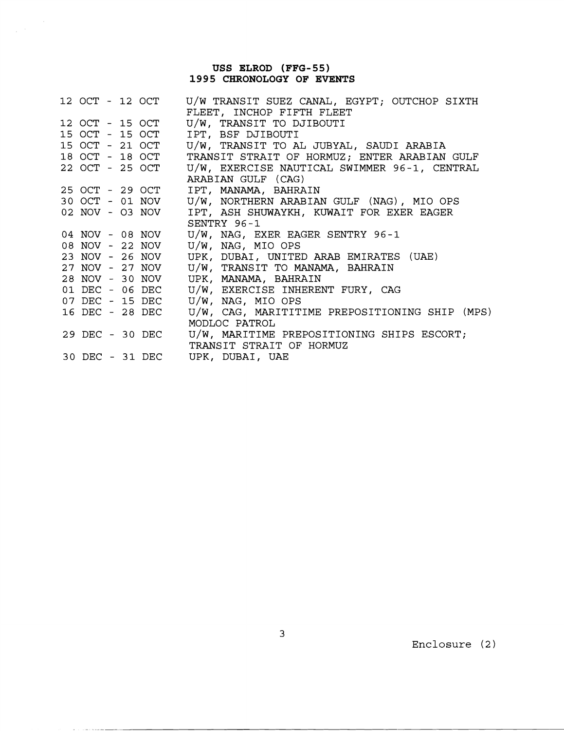## **USS ELROD (FFG-55) 1995 CHRONOLOGY OF EVENTS**

 $\label{eq:2} \frac{1}{\sqrt{2\pi}}\sum_{i=1}^n\frac{1}{\sqrt{2\pi}}\sum_{i=1}^n\frac{1}{\sqrt{2\pi}}\int_{0}^{1}d\tau\int_{0}^{1}d\tau\int_{0}^{1}d\tau\int_{0}^{1}d\tau\int_{0}^{1}d\tau\int_{0}^{1}d\tau\int_{0}^{1}d\tau\int_{0}^{1}d\tau\int_{0}^{1}d\tau\int_{0}^{1}d\tau\int_{0}^{1}d\tau\int_{0}^{1}d\tau\int_{0}^{1}d\tau\int_{0}^{1}d\tau\int_{0}$ 

 $\alpha$  , and  $\alpha$  , and  $\alpha$  , and  $\alpha$  , and  $\alpha$ 

|                 |  | 12 OCT - 12 OCT | U/W TRANSIT SUEZ CANAL, EGYPT; OUTCHOP SIXTH   |
|-----------------|--|-----------------|------------------------------------------------|
|                 |  |                 | FLEET, INCHOP FIFTH FLEET                      |
| 12 OCT - 15 OCT |  |                 | U/W, TRANSIT TO DJIBOUTI                       |
|                 |  | 15 OCT - 15 OCT | IPT, BSF DJIBOUTI                              |
|                 |  | 15 OCT - 21 OCT | U/W, TRANSIT TO AL JUBYAL, SAUDI ARABIA        |
|                 |  | 18 OCT - 18 OCT | TRANSIT STRAIT OF HORMUZ; ENTER ARABIAN GULF   |
| 22 OCT - 25 OCT |  |                 | U/W, EXERCISE NAUTICAL SWIMMER 96-1, CENTRAL   |
|                 |  |                 | ARABIAN GULF (CAG)                             |
|                 |  | 25 OCT - 29 OCT | IPT, MANAMA, BAHRAIN                           |
|                 |  | 30 OCT - 01 NOV | U/W, NORTHERN ARABIAN GULF (NAG), MIO OPS      |
|                 |  | 02 NOV - 03 NOV | IPT, ASH SHUWAYKH, KUWAIT FOR EXER EAGER       |
|                 |  |                 | SENTRY 96-1                                    |
|                 |  | 04 NOV - 08 NOV | U/W, NAG, EXER EAGER SENTRY 96-1               |
|                 |  | 08 NOV - 22 NOV | U/W, NAG, MIO OPS                              |
|                 |  | 23 NOV - 26 NOV | UPK, DUBAI, UNITED ARAB EMIRATES (UAE)         |
|                 |  | 27 NOV - 27 NOV | U/W, TRANSIT TO MANAMA, BAHRAIN                |
|                 |  | 28 NOV - 30 NOV | UPK, MANAMA, BAHRAIN                           |
| 01 DEC - 06 DEC |  |                 | U/W, EXERCISE INHERENT FURY, CAG               |
|                 |  | 07 DEC - 15 DEC | U/W, NAG, MIO OPS                              |
| 16 DEC - 28 DEC |  |                 | U/W, CAG, MARITITIME PREPOSITIONING SHIP (MPS) |
|                 |  |                 | MODLOC PATROL                                  |
| 29 DEC - 30 DEC |  |                 | U/W, MARITIME PREPOSITIONING SHIPS ESCORT;     |
|                 |  |                 | TRANSIT STRAIT OF HORMUZ                       |
|                 |  |                 | 30 DEC - 31 DEC UPK, DUBAI, UAE                |

Enclosure (2)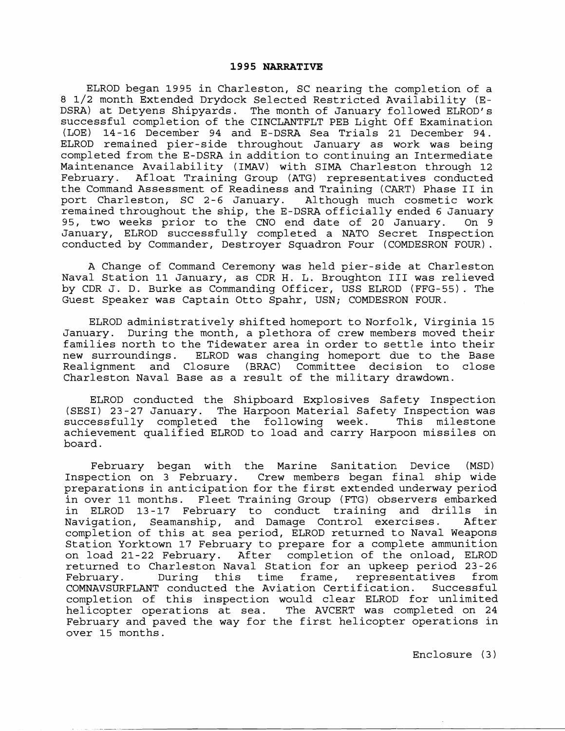ELROD began 1995 in Charleston, SC nearing the completion of a 8 1/2 month Extended Drydock Selected Restricted Availability (E-DSRA) at Detyens Shipyards. The month of January followed ELROD's successful completion of the CINCLANTFLT PEB Light Off Examination (LOE) 14-16 December 94 and E-DSRA Sea Trials 21 December 94. ELROD remained pier-side throughout January as work was being completed from the E-DSRA in addition to continuing an Intermediate Maintenance Availability (IMAV) with SIMA Charleston through 12 February. Afloat Training Group (ATG) representatives conducted the Command Assessment of Readiness and Training (CART) Phase II in<br>port Charleston, SC 2-6 January. Although much cosmetic work port Charleston, SC 2-6 January. remained throughout the ship, the E-DSRA officially ended 6 January 95, two weeks prior to the CNO end date of 20 January. On 9 January, ELROD successfully completed a NATO Secret Inspection conducted by Commander, Destroyer Squadron Four (COMDESRON FOUR).

A Change of Command Ceremony was held pier-side at Charleston Naval Station 11 January, as CDR H. L. Broughton I11 was relieved by CDR J. D. Burke as Commanding Officer, USS ELROD (FFG-55). The Guest Speaker was Captain Otto Spahr, USN; COMDESRON FOUR.

ELROD administratively shifted homeport to Norfolk, Virginia 15 January. During the month, a plethora of crew members moved their families north to the Tidewater area in order to settle into their<br>new surroundings. ELROD was changing homeport due to the Base ELROD was changing homeport due to the Base Realignment and Closure (BRAC) Committee decision to close Charleston Naval Base as a result of the military drawdown.

ELROD conducted the Shipboard Explosives Safety Inspection (SESI) 23-27 January. The Harpoon Material Safety Inspection was The Harpoon Material Safety Inspection was<br>d the following week. This milestone successfully completed the following week. achievement qualified ELROD to load and carry Harpoon missiles on board.

February began with the Marine Sanitation Device (MSD) Inspection on 3 February. Crew members began final ship wide preparations in anticipation for the first extended underway period in over 11 months. Fleet Training Group (FTG) observers embarked in ELROD 13-17 February to conduct training and drills in Navigation, Seamanship, and Damage Control exercises. After completion of this at sea period, ELROD returned to Naval Weapons Station Yorktown 17 February to prepare for a complete ammunition on load 21-22 February. After completion of the onload, ELROD returned to Charleston Naval Station for an upkeep period 23-26 During this time frame, representatives from<br>Conducted the Aviation-Certification. Successful COMNAVSURFLANT conducted the Aviation Certification. completion of this inspection would clear ELROD for unlimited<br>helicopter operations at sea. The AVCERT was completed on 24 The AVCERT was completed on 24 February and paved the way for the first helicopter operations in over 15 months.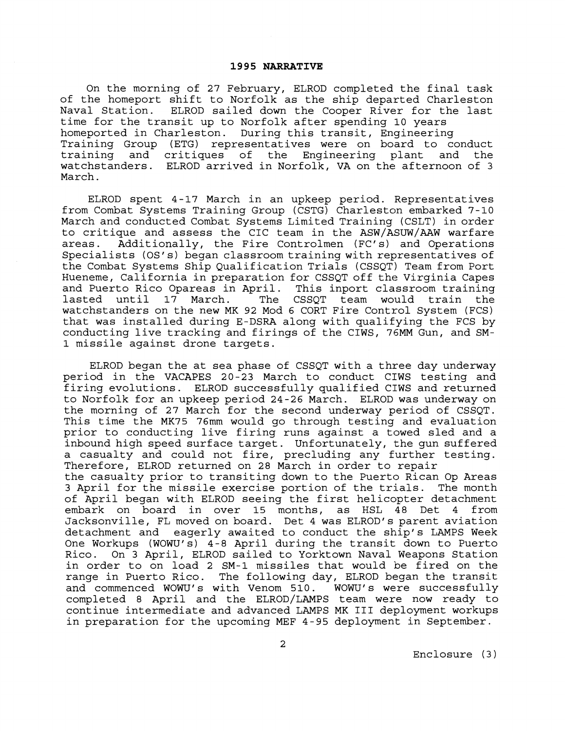On the morning of 27 February, ELROD completed the final task of the homeport shift to Norfolk as the ship departed Charleston Naval Station. ELROD sailed down the Cooper River for the last time for the transit up to Norfolk after spending 10 years homeported in Charleston. During this transit, Engineering Training Group (ETG) representatives were on board to conduct training and critiques of the Engineering plant and the watchstanders. ELROD arrived in Norfolk, VA on the afternoon of 3 March.

ELROD spent 4-17 March in an upkeep period. Representatives from Combat Systems Training Group (CSTG) Charleston embarked 7-10 March and conducted Combat Systems Limited Training (CSLT) in order to critique and assess the CIC team in the ASW/ASUW/AAW warfare<br>areas. Additionally, the Fire Controlmen (FC's) and Operations Additionally, the Fire Controlmen (FC's) and Operations Specialists (OS's) began classroom training with representatives of the Combat Systems Ship Qualification Trials (CSSQT) Team from Port Hueneme, California in preparation for CSSQT off the Virginia Capes<br>and Puerto Rico Opareas in April. This inport classroom training and Puerto Rico Opareas in April. This inport classroom training CSSOT team would watchstanders on the new MK 92 Mod **6** CORT Fire Control System (FCS) that was installed during E-DSRA along with qualifying the FCS by conducting live tracking and firings of the CIWS, 76MM Gun, and SM-1 missile against drone targets.

ELROD began the at sea phase of CSSQT with a three day underway period in the VACAPES 20-23 March to conduct CIWS testing and firing evolutions. ELROD successfully qualified CIWS and returned to Norfolk for an upkeep period 24-26 March. ELROD was underway on the morning of 27 March for the second underway period of CSSQT. This time the MK75 76mm would go through testing and evaluation prior to conducting live firing runs against a towed sled and a inbound high speed surface target. Unfortunately, the gun suffered a casualty and could not fire, precluding any further testing. Therefore, ELROD returned on 28 March in order to repair the casualty prior to transiting down to the Puerto Rican Op Areas 3 April for the missile exercise portion of the trials. The month of April began with ELROD seeing the first helicopter detachment embark on board in over 15 months, as HSL 48 Det 4 from Jacksonville, FL moved on board. Det 4 was ELROD's parent aviation eagerly awaited to conduct the ship's LAMPS Week One Workups (WOW'S) 4-8 April during the transit down to Puerto Rico. On 3 April, ELROD sailed to Yorktown Naval Weapons Station in order to on load 2 SM-1 missiles that would be fired on the range in Puerto Rico. The following day, ELROD began the transit and commenced WOWU's with Venom 510. WOWU's were successfully completed 8 April and the ELROD/LAMPS team were now ready to continue intermediate and advanced LAMPS MK I11 deployment workups in preparation for the upcoming MEF 4-95 deployment in September.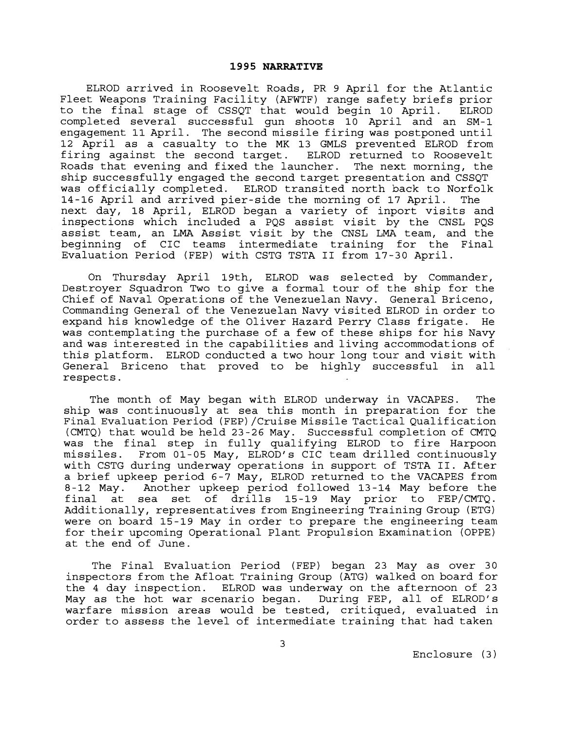ELROD arrived in Roosevelt Roads, PR 9 April for the Atlantic Fleet Weapons Training Facility (AFWTF) range safety briefs prior to the final stage of CSSQT that would begin 10 April. ELROD completed several successful gun shoots 10 April and an SM-1 engagement 11April. The second missile firing was postponed until 12 April as a casualty to the MK 13 GMLS prevented ELROD from firing against the second target. ELROD returned to Roosevelt Roads that evening and fixed the launcher. The next morning, the ship successfully engaged the second target presentation and CSSQT was officially completed. ELROD transited north back to Norfolk 14-16 April and arrived pier-side the morning of 17 April. The next day, 18 April, ELROD began a variety of inport visits and inspections which included a PQS assist visit by the CNSL PQS assist team, an **LMA** Assist visit by the CNSL **LMA** team, and the beginning of CIC teams intermediate training for the Final Evaluation Period (FEP) with CSTG TSTA I1 from 17-30 April.

On Thursday April 19th, ELROD was selected by Commander, Destroyer Squadron Two to give a formal tour of the ship for the Chief of Naval Operations of the Venezuelan Navy. General Briceno, Commanding General of the Venezuelan Navy visited ELROD in order to expand his knowledge of the Oliver Hazard Perry Class frigate. He was contemplating the purchase of a few of these ships for his Navy and was interested in the capabilities and living accommodations of this platform. ELROD conducted a two hour long tour and visit with General Briceno that proved to be highly successful in all respects.

The month of May began with ELROD underway in VACAPES. The ship was continuously at sea this month in preparation for the Final Evaluation Period (FEP)/Cruise Missile Tactical Qualification (CMTQ) that would be held 23-26 May. Successful completion of CMTQ was the final step in fully qualifying ELROD to fire Harpoon missiles. From 01-05 May, ELROD'S CIC team drilled continuously with CSTG during underway operations in support of TSTA 11. After a brief upkeep period 6-7 May, ELROD returned to the VACAPES from<br>8-12 May. Another upkeep period followed 13-14 May before the Another upkeep period followed 13-14 May before the final at sea set of drills 15-19 May prior to FEP/CMTQ. Additionally, representatives from Engineering Training Group (ETG) were on board 15-19 May in order to prepare the engineering team for their upcoming Operational Plant Propulsion Examination (OPPE) at the end of June.

The Final Evaluation Period (FEP) began 23 May as over 30 inspectors from the Afloat Training Group (ATG) walked on board for the 4 day inspection. ELROD was underway on the afternoon of 23 May as the hot war scenario began. During FEP, all of ELROD's warfare mission areas would be tested, critiqued, evaluated in order to assess the level of intermediate training that had taken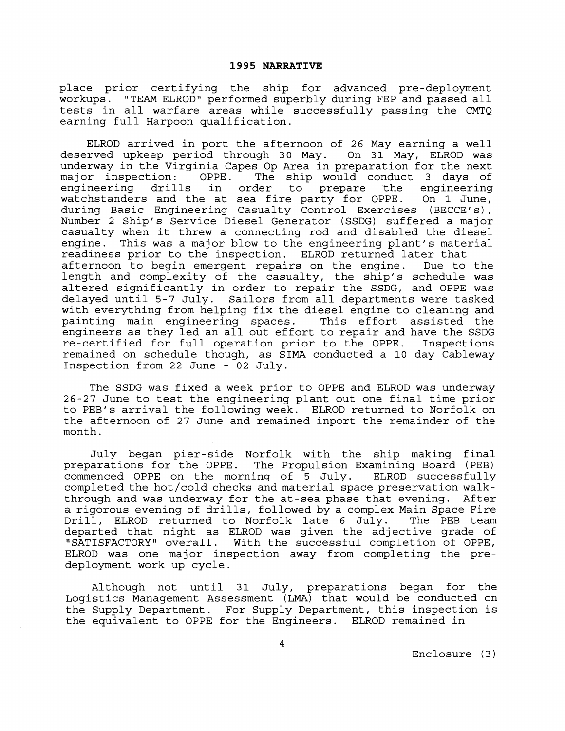place prior certifying the ship for advanced pre-deployment workups. "TEAM ELROD" performed superbly during FEP and passed all tests in all warfare areas while successfully passing the CMTQ earning full Harpoon qualification.

ELROD arrived in port the afternoon of 26 May earning a well deserved upkeep period through 30 May. On 31 May, ELROD was underway in the Virginia Capes Op Area in preparation for the next<br>major inspection: OPPE. The ship would conduct 3 days of major inspection: OPPE. The ship would conduct 3 days of<br>engineering drills in order to prepare the engineering engineering drills in order to prepare the engineering watchstanders and the at sea fire party for OPPE. On **1** June, during Basic Engineering Casualty Control Exercises (BECCE's), Number 2 Ship's Service Diesel Generator (SSDG) suffered a major casualty when it threw a connecting rod and disabled the diesel engine. This was a major blow to the engineering plant's material readiness prior to the inspection. ELROD returned later that afternoon to begin emergent repairs on the engine. Due to the length and complexity of the casualty, the ship's schedule was altered significantly in order to repair the SSDG, and OPPE was delayed until 5-7 July. Sailors from all departments were tasked with everything from helping fix the diesel engine to cleaning and painting main engineering spaces. This effort assisted the engineers as they led an all out effort to repair and have the SSDG re-certified for full operation prior to the OPPE. Inspections remained on schedule though, as SIMA conducted a **10** day Cableway Inspection from 22 June - 02 July.

The SSDG was fixed a week prior to OPPE and ELROD was underway 26-27 June to test the engineering plant out one final time prior to PEB's arrival the following week. ELROD returned to Norfolk on the afternoon of 27 June and remained inport the remainder of the month.

July began pier-side Norfolk with the ship making final preparations for the OPPE. The Propulsion Examining Board (PEB) commenced OPPE on the morning of 5 July. ELROD successfully completed the hot/cold checks and material space preservation walkthrough and was underway for the at-sea phase that evening. After a rigorous evening of drills, followed by a complex Main Space Fire<br>Drill, ELROD returned to Norfolk late 6 July. The PEB team Drill, ELROD returned to Norfolk late 6 July. departed that night as ELROD was given the adjective grade of "SATISFACTORY" overall. With the successful completion of OPPE, ELROD was one major inspection away from completing the predeployment work up cycle.

Although not until 31 July, preparations began for the Logistics Management Assessment (LMA) that would be conducted on the Supply Department. For Supply Department, this inspection is the equivalent to OPPE for the Engineers. ELROD remained in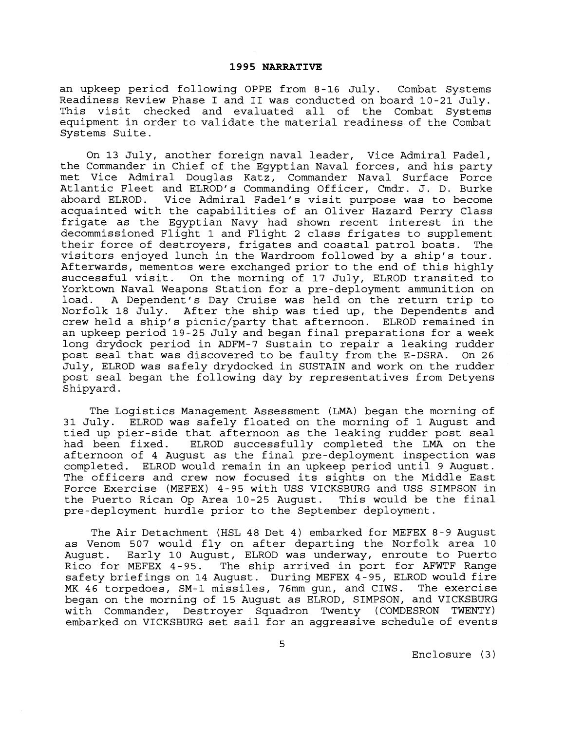an upkeep period following OPPE from 8-16 July. Combat Systems Readiness Review Phase I and **I1** was conducted on board 10-21 July. This visit checked and evaluated all of the Combat Systems equipment in order to validate the material readiness of the Combat Systems Suite.

On 13 July, another foreign naval leader, Vice Admiral Fadel, the Commander in Chief of the Egyptian Naval forces, and his party met Vice Admiral Douglas Katz, Commander Naval Surface Force Atlantic Fleet and ELROD's Commanding Officer, Cmdr. J. D. Burke aboard ELROD. Vice Admiral Fadel's visit purpose was to become acquainted with the capabilities of an Oliver Hazard Perry Class frigate as the Egyptian Navy had shown recent interest in the decommissioned Flight 1 and Flight 2 class frigates to supplement their force of destroyers, frigates and coastal patrol boats. The visitors enjoyed lunch in the Wardroom followed by a ship's tour. Afterwards, mementos were exchanged prior to the end of this highly successful visit. On the morning of 17 July, ELROD transited to Yorktown Naval Weapons Station for a pre-deployment ammunition on load. A Dependent's Day Cruise was held on the return trip to Norfolk 18 July. After the ship was tied up, the Dependents and crew held a ship's picnic/party that afternoon. ELROD remained in an upkeep period 19-25 July and began final preparations for a week long drydock period in ADFM-7 Sustain to repair a leaking rudder post seal that was discovered to be faulty from the E-DSRA. On 26 July, ELROD was safely drydocked in SUSTAIN and work on the rudder post seal began the following day by representatives from Detyens Shipyard.

The Logistics Management Assessment (LMA) began the morning of 31 July. ELROD was safely floated on the morning of 1 August and tied up pier-side that afternoon as the leaking rudder post seal<br>had been fixed. ELROD successfully completed the LMA on the ELROD successfully completed the LMA on the afternoon of 4 August as the final pre-deployment inspection was completed. ELROD would remain in an upkeep period until 9 August. The officers and crew now focused its sights on the Middle East Force Exercise (MEFEX) 4-95 with USS VICKSBURG and USS SIMPSON in<br>the Puerto Rican Op Area 10-25 Auqust. This would be the final the Puerto Rican Op Area 10-25 August. pre-deployment hurdle prior to the September deployment.

The Air Detachment (HSL 48 Det 4) embarked for MEFEX 8-9 August as Venom 507 would fly on after departing the Norfolk area 10 August. Early 10 August, ELROD was underway, enroute to Puerto Rico for MEFEX 4-95. The ship arrived in port for AFWTF Range safety briefings on 14 August. During MEFEX 4-95, ELROD would fire MK 46 torpedoes, SM-1 missiles, 76mm gun, and CIWS. The exercise began on the morning of 15 August as ELROD, SIMPSON, and VICKSBURG with Commander, Destroyer Squadron Twenty (COMDESRON TWENTY) embarked on VICKSBURG set sail for an aggressive schedule of events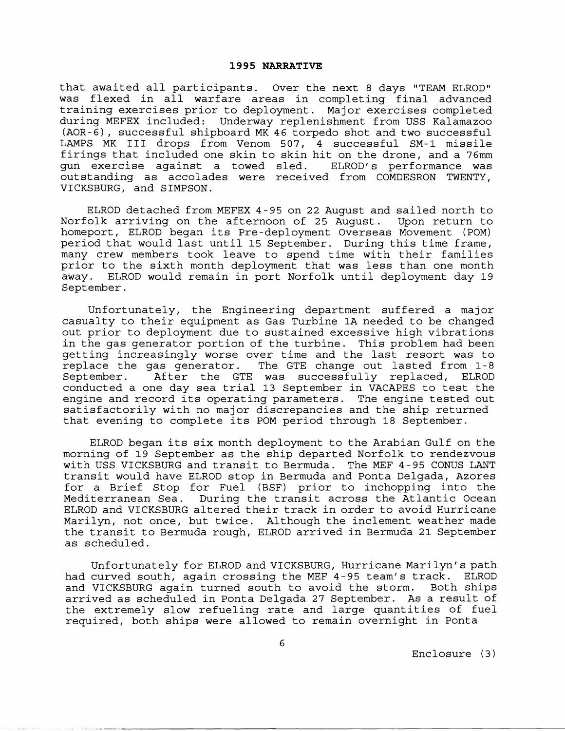that awaited all participants. Over the next 8 days "TEAM ELROD" was flexed in all warfare areas in completing final advanced training exercises prior to deployment. Major exercises completed during MEFEX included: Underway replenishment from USS Kalamazoo (AOR-6) , successful shipboard MK 46 torpedo shot and two successful LAMPS MK I11 drops from Venom 507, 4 successful SM-1 missile firings that included one skin to skin hit on the drone, and a 76mm gun exercise against a towed sled. ELROD's performance was outstanding as accolades were received from COMDESRON TWENTY, VICKSBURG, and SIMPSON.

ELROD detached from MEFEX 4-95 on 22 August and sailed north to Norfolk arriving on the afternoon of 25 August. Upon return to homeport, ELROD began its Pre-deployment Overseas Movement (POM) period that would last until 15 September. During this time frame, many crew members took leave to spend time with their families prior to the sixth month deployment that was less than one month away. ELROD would remain in port Norfolk until deployment day 19 September.

Unfortunately, the Engineering department suffered a major casualty to their equipment as Gas Turbine 1A needed to be changed out prior to deployment due to sustained excessive high vibrations in the gas generator portion of the turbine. This problem had been getting increasingly worse over time and the last resort was to replace the gas generator. The GTE change out lasted from 1-8 September. After the GTE was successfully replaced, ELROD conducted a one day sea trial 13 September in VACAPES to test the engine and record its operating parameters. The engine tested out satisfactorily with no major discrepancies and the ship returned that evening to complete its POM period through 18 September.

ELROD began its six month deployment to the Arabian Gulf on the morning of 19 September as the ship departed Norfolk to rendezvous with USS VICKSBURG and transit to Bermuda. The MEF 4 - 95 CONUS LANT transit would have ELROD stop in Bermuda and Ponta Delgada, Azores for a Brief Stop for Fuel (BSF) prior to inchopping into the Mediterranean Sea. During the transit across the Atlantic Ocean ELROD and VICKSBURG altered their track in order to avoid Hurricane Marilyn, not once, but twice. Although the inclement weather made the transit to Bermuda rough, ELROD arrived in Bermuda 21 September as scheduled.

Unfortunately for ELROD and VICKSBURG, Hurricane Marilyn's path had curved south, again crossing the MEF 4-95 team's track. ELROD and VICKSBURG again turned south to avoid the storm. Both ships arrived as scheduled in Ponta Delgada 27 September. As **a** result of the extremely slow refueling rate and large quantities of fuel required, both ships were allowed to remain overnight in Ponta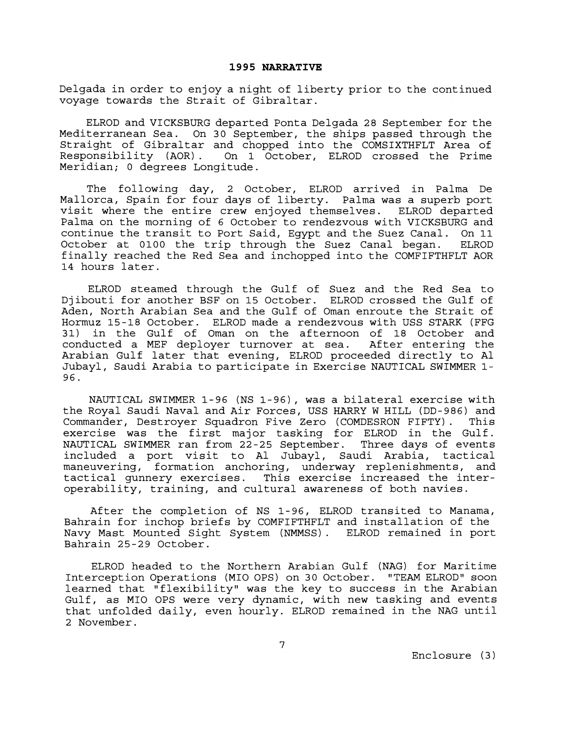Delgada in order to enjoy a night of liberty prior to the continued voyage towards the Strait of Gibraltar.

ELROD and VICKSBURG departed Ponta Delgada 28 September for the Mediterranean Sea. On 30 September, the ships passed through the Straight of Gibraltar and chopped into the COMSIXTHFLT Area of Responsibility (AOR). On 1 October, ELROD crossed the Prime Meridian; 0 degrees Longitude.

The following day, 2 October, ELROD arrived in Palma De Mallorca, Spain for four days of liberty. Palma was a superb port visit where the entire crew en joyed themselves. ELROD departed Palma on the morning of 6 October to rendezvous with VICKSBURG and continue the transit to Port Said, Egypt and the Suez Canal. On 11 October at 0100 the trip through the Suez Canal began. finally reached the Red Sea and inchopped into the COMFIFTHFLT AOR 14 hours later.

ELROD steamed through the Gulf of Suez and the Red Sea to Djibouti for another BSF on 15 October. ELROD crossed the Gulf of Aden, North Arabian Sea and the Gulf of Oman enroute the Strait of Hormuz 15-18 October. ELROD made a rendezvous with USS STARK (FFG in the Gulf of Oman on the afternoon of 18 October and conducted a MEF deployer turnover at sea. After entering the Arabian Gulf later that evening, ELROD proceeded directly to A1 Jubayl, Saudi Arabia to participate in Exercise NAUTICAL SWIMMER 1- 96.

NAUTICAL SWIMMER 1-96 (NS 1-96), was a bilateral exercise with the Royal Saudi Naval and Air Forces, USS HARRY W HILL (DD-986) and Commander, Destroyer Squadron Five Zero (COMDESRON FIFTY) . This exercise was the first major tasking for ELROD in the Gulf. NAUTICAL SWIMMER ran from 22-25 September. Three days of events included a port visit to A1 Jubayl, Saudi Arabia, tactical maneuvering, formation anchoring, underway replenishments, and tactical gunnery exercises. This exercise increased the interoperability, training, and cultural awareness of both navies.

After the completion of NS 1-96, ELROD transited to Manama, Bahrain for inchop briefs by COMFIFTHFLT and installation of the Navy Mast Mounted Sight System (NMMSS) . ELROD remained in port Bahrain 25-29 October.

ELROD headed to the Northern Arabian Gulf (NAG) for Maritime Interception Operations (MI0 OPS) on 30 October. "TEAM ELROD" soon learned that "flexibility" was the key to success in the Arabian Gulf, as MIO OPS were very dynamic, with new tasking and events that unfolded daily, even hourly. ELROD remained in the NAG until 2 November.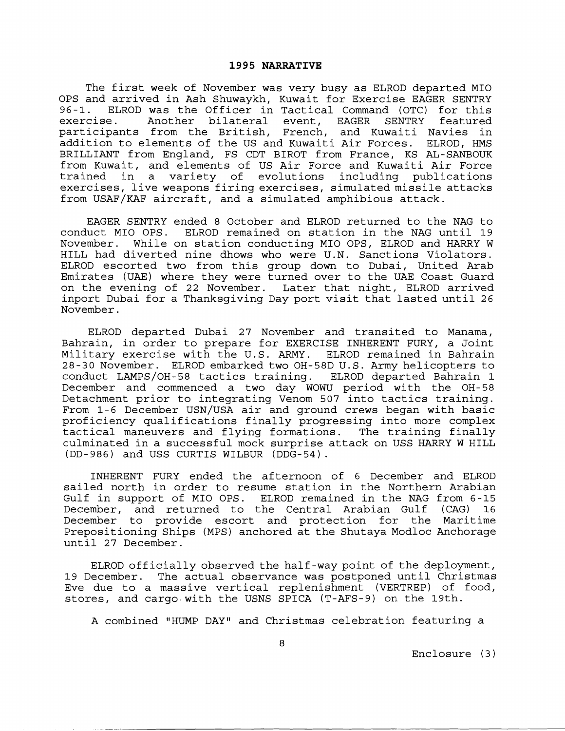The first week of November was very busy as ELROD departed MI0 OPS and arrived in Ash Shuwaykh, Kuwait for Exercise EAGER SENTRY<br>96-1. ELROD was the Officer in Tactical Command (OTC) for this 96-1. ELROD was the Officer in Tactical Command (OTC) for this Another bilateral event, EAGER SENTRY participants from the British, French, and Kuwaiti Navies in addition to elements of the US and Kuwaiti Air Forces. ELROD, HMS BRILLIANT from England, FS CDT BIROT from France, KS AL-SANBOUK from Kuwait, and elements of US Air Force and Kuwaiti Air Force trained in a variety of evolutions including publications exercises, live weapons firing exercises, simulated missile attacks from USAF/KAF aircraft, and a simulated amphibious attack.

EAGER SENTRY ended 8 October and ELROD returned to the NAG to conduct MI0 OPS. ELROD remained on station in the NAG until 19 November. While on station conducting MI0 OPS, ELROD and HARRY W HILL had diverted nine dhows who were U.N. Sanctions Violators. ELROD escorted two from this group down to Dubai, United Arab Emirates (UAE) where they were turned over to the UAE Coast Guard on the evening of 22 November. Later that night, ELROD arrived inport Dubai for a Thanksgiving Day port visit that lasted until 26 November.

ELROD departed Dubai 27 November and transited to Manama, Bahrain, in order to prepare for EXERCISE INHERENT FURY, a Joint Military exercise with the U.S. ARMY. ELROD remained in Bahrain 28-30 November. ELROD embarked two OH-58D U.S. Army helicopters to conduct LAMPS/OH-58 tactics training. ELROD departed Bahrain 1 December and commenced a two day WOWU period with the OH-58 Detachment prior to integrating Venom 507 into tactics training. From 1-6 December USN/USA air and ground crews began with basic proficiency qualifications finally progressing into more complex tactical maneuvers and flying formations. The training finally culminated in a successful mock surprise attack on IJSS HARRY W HILL (DD-986) and USS CURTIS WILBUR (DDG-54).

INHERENT FURY ended the afternoon of 6 December and ELROD sailed north in order to resume station in the Northern Arabian Gulf in support of MI0 OPS. ELROD remained in the NAG from 6-15 December, and returned to the Central Arabian Gulf (CAG) 16 December to provide escort and protection for the Maritime Prepositioning Ships (MPS) anchored at the Shutaya Modloc Anchorage until 27 December.

ELROD officially observed the half-way point of the deployment, 19 December. The actual observance was postponed until Christmas Eve due to a massive vertical replenishment (VERTREP) of food, stores, and cargo with the USNS SPICA (T-AFS-9) on the 19th.

A combined "HUMP DAY" and Christmas celebration featuring a